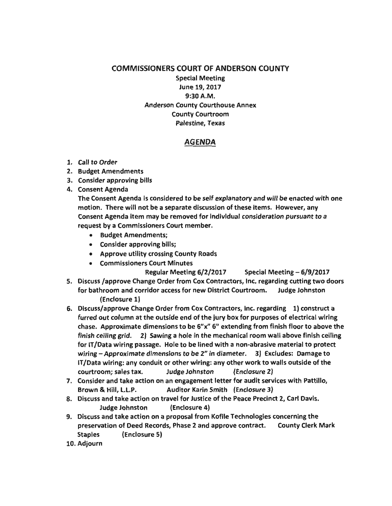COMMISSIONERS COURT OF ANDERSON COUNTY Special Meeting

June 19, 2017 9:30A.M. Anderson County Courthouse Annex County Courtroom Palestine, Texas

## AGENDA

- 1. Call to Order
- 2. Budget Amendments
- 3. Consider approving bills
- 4. Consent Agenda

The Consent Agenda is considered to be self explanatory and will be enacted with one motion. There will not be a separate discussion of these items. However, any Consent Agenda item may be removed for individual consideration pursuant to a request by a Commissioners Court member.

- Budget Amendments;
- Consider approving bills;
- Approve utility crossing County Roads
- Commissioners Court Minutes

Regular Meeting 6/2/2017 Special Meeting- 6/9/2017

- 5. Discuss /approve Change Order from Cox Contractors, Inc. regarding cutting two doors for bathroom and corridor access for new District Courtroom. Judge Johnston (Enclosure 1)
- 6. Discuss/approve Change Order from Cox Contractors, Inc. regarding 1) construct a furred out column at the outside end of the jury box for purposes of electrical wiring chase. Approximate dimensions to be 6"x" 6" extending from finish floor to above the finish ceiling grid. 2) Sawing a hole in the mechanical room wall above finish ceiling for IT /Data wiring passage. Hole to be lined with a non-abrasive material to protect wiring – Approximate dimensions to be 2" in diameter. 3) Excludes: Damage to IT /Data wiring: any conduit or other wiring: any other work to walls outside of the courtroom; sales tax. Judge Johnston (Enclosure 2)
- 7. Consider and take action on an engagement letter for audit services with Pattillo, Brown & Hill, L.L.P. Auditor Karin Smith (Enclosure 3)
- 8. Discuss and take action on travel for Justice of the Peace Precinct 2, Carl Davis. Judge Johnston (Enclosure 4)
- 9. Discuss and take action on a proposal from Kofile Technologies concerning the preservation of Deed Records, Phase 2 and approve contract. County Clerk Mark Staples (Enclosure S)
- 10. Adjourn